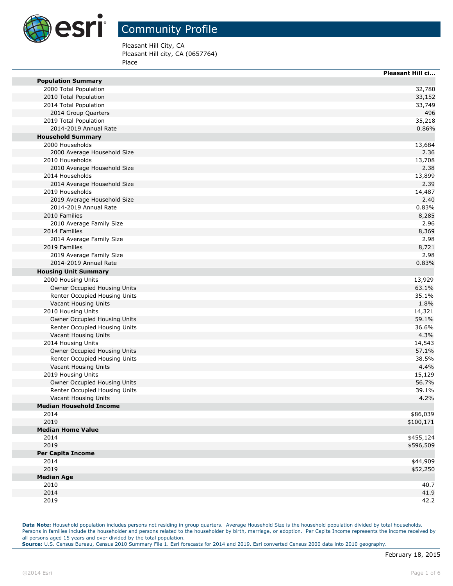

m.

i<br>L

 $\overline{\phantom{0}}$ 

### Community Profile

Pleasant Hill City, CA Pleasant Hill city, CA (0657764) Place

|                                | <b>Pleasant Hill ci</b> |
|--------------------------------|-------------------------|
| <b>Population Summary</b>      |                         |
| 2000 Total Population          | 32,780                  |
| 2010 Total Population          | 33,152                  |
| 2014 Total Population          | 33,749                  |
| 2014 Group Quarters            | 496                     |
| 2019 Total Population          | 35,218                  |
| 2014-2019 Annual Rate          | 0.86%                   |
| <b>Household Summary</b>       |                         |
| 2000 Households                | 13,684                  |
| 2000 Average Household Size    | 2.36                    |
| 2010 Households                | 13,708                  |
| 2010 Average Household Size    | 2.38                    |
| 2014 Households                | 13,899                  |
| 2014 Average Household Size    | 2.39                    |
| 2019 Households                | 14,487                  |
| 2019 Average Household Size    | 2.40                    |
| 2014-2019 Annual Rate          | 0.83%                   |
| 2010 Families                  | 8,285                   |
| 2010 Average Family Size       | 2.96                    |
| 2014 Families                  | 8,369                   |
| 2014 Average Family Size       | 2.98                    |
| 2019 Families                  | 8,721                   |
| 2019 Average Family Size       | 2.98                    |
| 2014-2019 Annual Rate          | 0.83%                   |
| <b>Housing Unit Summary</b>    |                         |
| 2000 Housing Units             | 13,929                  |
| Owner Occupied Housing Units   | 63.1%                   |
| Renter Occupied Housing Units  | 35.1%                   |
| Vacant Housing Units           | 1.8%                    |
| 2010 Housing Units             | 14,321                  |
| Owner Occupied Housing Units   | 59.1%                   |
| Renter Occupied Housing Units  | 36.6%                   |
| Vacant Housing Units           | 4.3%                    |
| 2014 Housing Units             | 14,543                  |
| Owner Occupied Housing Units   | 57.1%                   |
| Renter Occupied Housing Units  | 38.5%                   |
| Vacant Housing Units           | 4.4%                    |
| 2019 Housing Units             | 15,129                  |
| Owner Occupied Housing Units   | 56.7%                   |
| Renter Occupied Housing Units  | 39.1%                   |
| Vacant Housing Units           | 4.2%                    |
| <b>Median Household Income</b> |                         |
| 2014                           | \$86,039                |
| 2019                           | \$100,171               |
| <b>Median Home Value</b>       |                         |
| 2014                           | \$455,124               |
| 2019                           | \$596,509               |
| <b>Per Capita Income</b>       |                         |
| 2014                           | \$44,909                |
| 2019                           | \$52,250                |
| <b>Median Age</b>              |                         |
| 2010                           | 40.7                    |
| 2014                           | 41.9                    |
| 2019                           | 42.2                    |
|                                |                         |

**Data Note:** Household population includes persons not residing in group quarters. Average Household Size is the household population divided by total households. Persons in families include the householder and persons related to the householder by birth, marriage, or adoption. Per Capita Income represents the income received by all persons aged 15 years and over divided by the total population. **Source:** U.S. Census Bureau, Census 2010 Summary File 1. Esri forecasts for 2014 and 2019. Esri converted Census 2000 data into 2010 geography.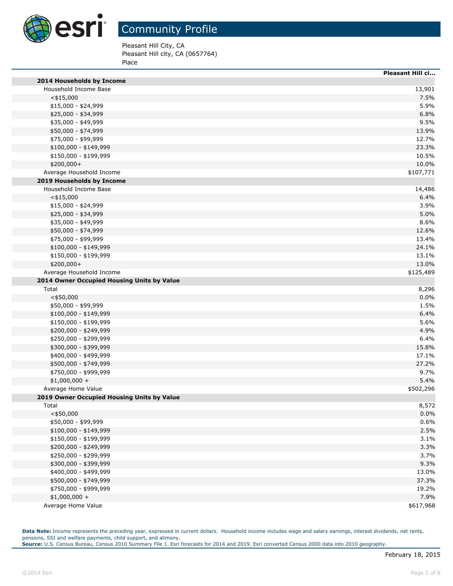

Pleasant Hill City, CA

Pleasant Hill city, CA (0657764) Place

|                                            | <b>Pleasant Hill ci</b> |
|--------------------------------------------|-------------------------|
| 2014 Households by Income                  |                         |
| Household Income Base                      | 13,901                  |
| $<$ \$15,000                               | 7.5%                    |
| $$15,000 - $24,999$                        | 5.9%                    |
| \$25,000 - \$34,999                        | 6.8%                    |
| \$35,000 - \$49,999                        | 9.5%                    |
| \$50,000 - \$74,999                        | 13.9%                   |
| \$75,000 - \$99,999                        | 12.7%                   |
| $$100,000 - $149,999$                      | 23.3%                   |
| \$150,000 - \$199,999                      | 10.5%                   |
| \$200,000+                                 | 10.0%                   |
| Average Household Income                   | \$107,771               |
| 2019 Households by Income                  |                         |
| Household Income Base                      | 14,486                  |
| $<$ \$15,000                               | 6.4%                    |
| \$15,000 - \$24,999                        | 3.9%                    |
| \$25,000 - \$34,999                        | 5.0%                    |
| \$35,000 - \$49,999                        | 8.6%                    |
| \$50,000 - \$74,999                        | 12.6%                   |
| \$75,000 - \$99,999                        | 13.4%                   |
| $$100,000 - $149,999$                      | 24.1%                   |
| \$150,000 - \$199,999                      | 13.1%                   |
| \$200,000+                                 | 13.0%                   |
| Average Household Income                   | \$125,489               |
| 2014 Owner Occupied Housing Units by Value |                         |
| Total                                      | 8,296                   |
| $<$ \$50,000                               | 0.0%                    |
| \$50,000 - \$99,999                        | 1.5%                    |
| $$100,000 - $149,999$                      | 6.4%                    |
| \$150,000 - \$199,999                      | 5.6%                    |
| \$200,000 - \$249,999                      | 4.9%                    |
| \$250,000 - \$299,999                      | 6.4%                    |
| \$300,000 - \$399,999                      | 15.8%                   |
| \$400,000 - \$499,999                      | 17.1%                   |
| \$500,000 - \$749,999                      | 27.2%                   |
| \$750,000 - \$999,999                      | 9.7%                    |
| $$1,000,000 +$                             | 5.4%                    |
| Average Home Value                         | \$502,296               |
| 2019 Owner Occupied Housing Units by Value |                         |
| Total                                      | 8,572                   |
| $<$ \$50,000                               | 0.0%                    |
| \$50,000 - \$99,999                        | 0.6%                    |
| $$100,000 - $149,999$                      | 2.5%                    |
| \$150,000 - \$199,999                      | 3.1%                    |
| \$200,000 - \$249,999                      | 3.3%                    |
| \$250,000 - \$299,999                      | 3.7%                    |
| \$300,000 - \$399,999                      | 9.3%                    |
| \$400,000 - \$499,999                      | 13.0%                   |
| \$500,000 - \$749,999                      | 37.3%                   |
| \$750,000 - \$999,999                      | 19.2%                   |
| $$1,000,000 +$                             | 7.9%                    |
| Average Home Value                         | \$617,968               |

Data Note: Income represents the preceding year, expressed in current dollars. Household income includes wage and salary earnings, interest dividends, net rents, pensions, SSI and welfare payments, child support, and alimony. **Source:** U.S. Census Bureau, Census 2010 Summary File 1. Esri forecasts for 2014 and 2019. Esri converted Census 2000 data into 2010 geography.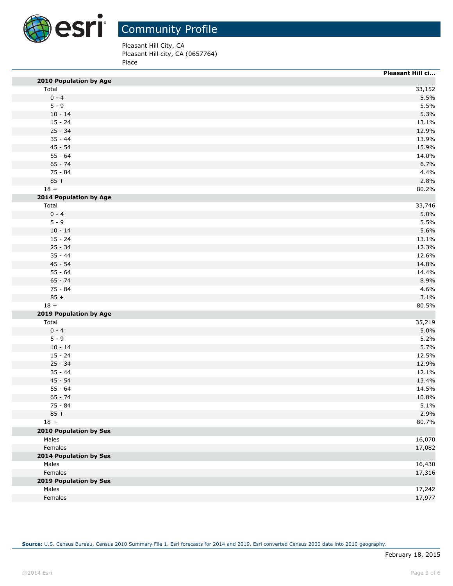

Pleasant Hill City, CA

Pleasant Hill city, CA (0657764) Place

|                                 | Pleasant Hill ci |
|---------------------------------|------------------|
| 2010 Population by Age          |                  |
| Total                           | 33,152           |
| $0 - 4$                         | 5.5%             |
| $5 - 9$                         | 5.5%             |
| $10 - 14$                       | 5.3%             |
| $15 - 24$                       | 13.1%            |
| $25 - 34$                       | 12.9%            |
| $35 - 44$                       | 13.9%            |
| $45 - 54$                       | 15.9%            |
| $55 - 64$                       | 14.0%            |
| $65 - 74$                       | 6.7%             |
| 75 - 84                         | 4.4%             |
| $85 +$                          | 2.8%             |
| $18 +$                          | 80.2%            |
| 2014 Population by Age          |                  |
| Total                           | 33,746           |
| $0 - 4$                         | 5.0%             |
| $5 - 9$                         | 5.5%             |
| $10 - 14$                       | 5.6%             |
| $15 - 24$                       | 13.1%            |
| $25 - 34$                       | 12.3%            |
| $35 - 44$                       | 12.6%            |
| $45 - 54$                       | 14.8%            |
| $55 - 64$                       | 14.4%            |
| $65 - 74$                       | 8.9%             |
| 75 - 84                         | 4.6%             |
| $85 +$                          | 3.1%             |
| $18 +$                          | 80.5%            |
|                                 |                  |
| 2019 Population by Age<br>Total | 35,219           |
| $0 - 4$                         |                  |
|                                 | 5.0%             |
| $5 - 9$                         | 5.2%             |
| $10 - 14$                       | 5.7%             |
| $15 - 24$                       | 12.5%            |
| $25 - 34$                       | 12.9%            |
| $35 - 44$                       | 12.1%            |
| $45 - 54$                       | 13.4%            |
| $55 - 64$                       | 14.5%            |
| $65 - 74$                       | 10.8%            |
| 75 - 84                         | 5.1%             |
| $85 +$                          | 2.9%             |
| $18 +$                          | 80.7%            |
| <b>2010 Population by Sex</b>   |                  |
| Males                           | 16,070           |
| Females                         | 17,082           |
| 2014 Population by Sex          |                  |
| Males                           | 16,430           |
| Females                         | 17,316           |
| 2019 Population by Sex          |                  |
| Males                           | 17,242           |
| Females                         | 17,977           |
|                                 |                  |

**Source:** U.S. Census Bureau, Census 2010 Summary File 1. Esri forecasts for 2014 and 2019. Esri converted Census 2000 data into 2010 geography.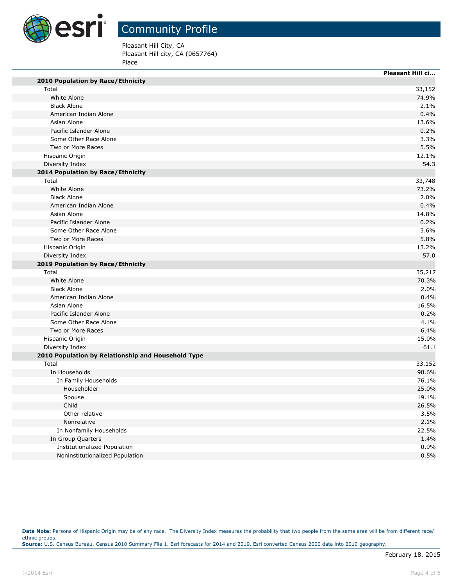

Pleasant Hill City, CA

Pleasant Hill city, CA (0657764) Place

|                                                    | <b>Pleasant Hill ci</b> |
|----------------------------------------------------|-------------------------|
| <b>2010 Population by Race/Ethnicity</b>           |                         |
| Total                                              | 33,152                  |
| White Alone                                        | 74.9%                   |
| <b>Black Alone</b>                                 | 2.1%                    |
| American Indian Alone                              | 0.4%                    |
| Asian Alone                                        | 13.6%                   |
| Pacific Islander Alone                             | 0.2%                    |
| Some Other Race Alone                              | 3.3%                    |
| Two or More Races                                  | 5.5%                    |
| Hispanic Origin                                    | 12.1%                   |
| Diversity Index                                    | 54.3                    |
| 2014 Population by Race/Ethnicity                  |                         |
| Total                                              | 33,748                  |
| White Alone                                        | 73.2%                   |
| <b>Black Alone</b>                                 | 2.0%                    |
| American Indian Alone                              | 0.4%                    |
| Asian Alone                                        | 14.8%                   |
| Pacific Islander Alone                             | 0.2%                    |
| Some Other Race Alone                              | 3.6%                    |
| Two or More Races                                  | 5.8%                    |
| Hispanic Origin                                    | 13.2%                   |
| Diversity Index                                    | 57.0                    |
| 2019 Population by Race/Ethnicity                  |                         |
| Total                                              | 35,217                  |
| White Alone                                        | 70.3%                   |
| <b>Black Alone</b>                                 | 2.0%                    |
| American Indian Alone                              | 0.4%                    |
| Asian Alone                                        | 16.5%                   |
| Pacific Islander Alone                             | 0.2%                    |
| Some Other Race Alone                              | 4.1%                    |
| Two or More Races                                  | 6.4%                    |
| Hispanic Origin                                    | 15.0%                   |
| Diversity Index                                    | 61.1                    |
| 2010 Population by Relationship and Household Type |                         |
| Total                                              | 33,152                  |
| In Households                                      | 98.6%                   |
| In Family Households                               | 76.1%                   |
| Householder                                        | 25.0%                   |
| Spouse                                             | 19.1%                   |
| Child                                              | 26.5%                   |
| Other relative                                     | 3.5%                    |
| Nonrelative                                        | 2.1%                    |
| In Nonfamily Households                            | 22.5%                   |
| In Group Quarters                                  | 1.4%                    |
| <b>Institutionalized Population</b>                | 0.9%                    |
| Noninstitutionalized Population                    | 0.5%                    |

Data Note: Persons of Hispanic Origin may be of any race. The Diversity Index measures the probability that two people from the same area will be from different race/ ethnic groups. **Source:** U.S. Census Bureau, Census 2010 Summary File 1. Esri forecasts for 2014 and 2019. Esri converted Census 2000 data into 2010 geography.

п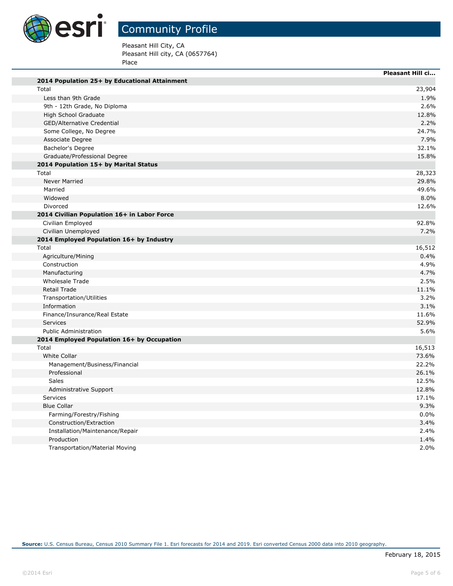

Pleasant Hill City, CA

Pleasant Hill city, CA (0657764) Place

|                                               | <b>Pleasant Hill ci</b> |
|-----------------------------------------------|-------------------------|
| 2014 Population 25+ by Educational Attainment |                         |
| Total                                         | 23,904                  |
| Less than 9th Grade                           | 1.9%                    |
| 9th - 12th Grade, No Diploma                  | 2.6%                    |
| High School Graduate                          | 12.8%                   |
| <b>GED/Alternative Credential</b>             | 2.2%                    |
| Some College, No Degree                       | 24.7%                   |
| Associate Degree                              | 7.9%                    |
| Bachelor's Degree                             | 32.1%                   |
| Graduate/Professional Degree                  | 15.8%                   |
| 2014 Population 15+ by Marital Status         |                         |
| Total                                         | 28,323                  |
| <b>Never Married</b>                          | 29.8%                   |
| Married                                       | 49.6%                   |
| Widowed                                       | 8.0%                    |
| Divorced                                      | 12.6%                   |
| 2014 Civilian Population 16+ in Labor Force   |                         |
| Civilian Employed                             | 92.8%                   |
| Civilian Unemployed                           | 7.2%                    |
| 2014 Employed Population 16+ by Industry      |                         |
| Total                                         | 16,512                  |
| Agriculture/Mining                            | 0.4%                    |
| Construction                                  | 4.9%                    |
| Manufacturing                                 | 4.7%                    |
| Wholesale Trade                               | 2.5%                    |
| <b>Retail Trade</b>                           | 11.1%                   |
| Transportation/Utilities                      | 3.2%                    |
| Information                                   | 3.1%                    |
| Finance/Insurance/Real Estate                 | 11.6%                   |
| <b>Services</b>                               | 52.9%                   |
| <b>Public Administration</b>                  | 5.6%                    |
| 2014 Employed Population 16+ by Occupation    |                         |
| Total                                         | 16,513                  |
| White Collar                                  | 73.6%                   |
| Management/Business/Financial                 | 22.2%                   |
| Professional                                  | 26.1%                   |
| Sales                                         | 12.5%                   |
| Administrative Support                        | 12.8%                   |
| Services                                      | 17.1%                   |
| <b>Blue Collar</b>                            | 9.3%                    |
| Farming/Forestry/Fishing                      | 0.0%                    |
| Construction/Extraction                       | 3.4%                    |
| Installation/Maintenance/Repair               | 2.4%                    |
| Production                                    | 1.4%                    |
| <b>Transportation/Material Moving</b>         | 2.0%                    |

**Source:** U.S. Census Bureau, Census 2010 Summary File 1. Esri forecasts for 2014 and 2019. Esri converted Census 2000 data into 2010 geography.